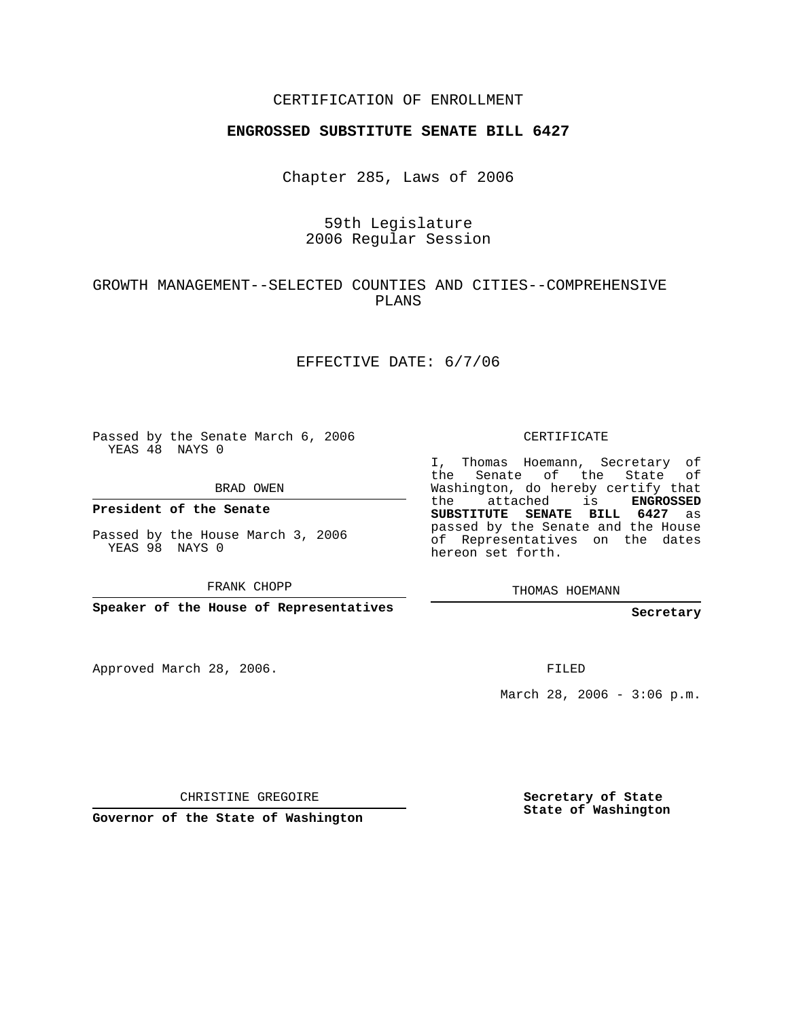## CERTIFICATION OF ENROLLMENT

### **ENGROSSED SUBSTITUTE SENATE BILL 6427**

Chapter 285, Laws of 2006

# 59th Legislature 2006 Regular Session

## GROWTH MANAGEMENT--SELECTED COUNTIES AND CITIES--COMPREHENSIVE PLANS

### EFFECTIVE DATE: 6/7/06

Passed by the Senate March 6, 2006 YEAS 48 NAYS 0

BRAD OWEN

**President of the Senate**

Passed by the House March 3, 2006 YEAS 98 NAYS 0

FRANK CHOPP

**Speaker of the House of Representatives**

Approved March 28, 2006.

CERTIFICATE

I, Thomas Hoemann, Secretary of the Senate of the State of Washington, do hereby certify that the attached is **ENGROSSED SUBSTITUTE SENATE BILL 6427** as passed by the Senate and the House of Representatives on the dates hereon set forth.

THOMAS HOEMANN

#### **Secretary**

FILED

March 28, 2006 -  $3:06$  p.m.

CHRISTINE GREGOIRE

**Governor of the State of Washington**

**Secretary of State State of Washington**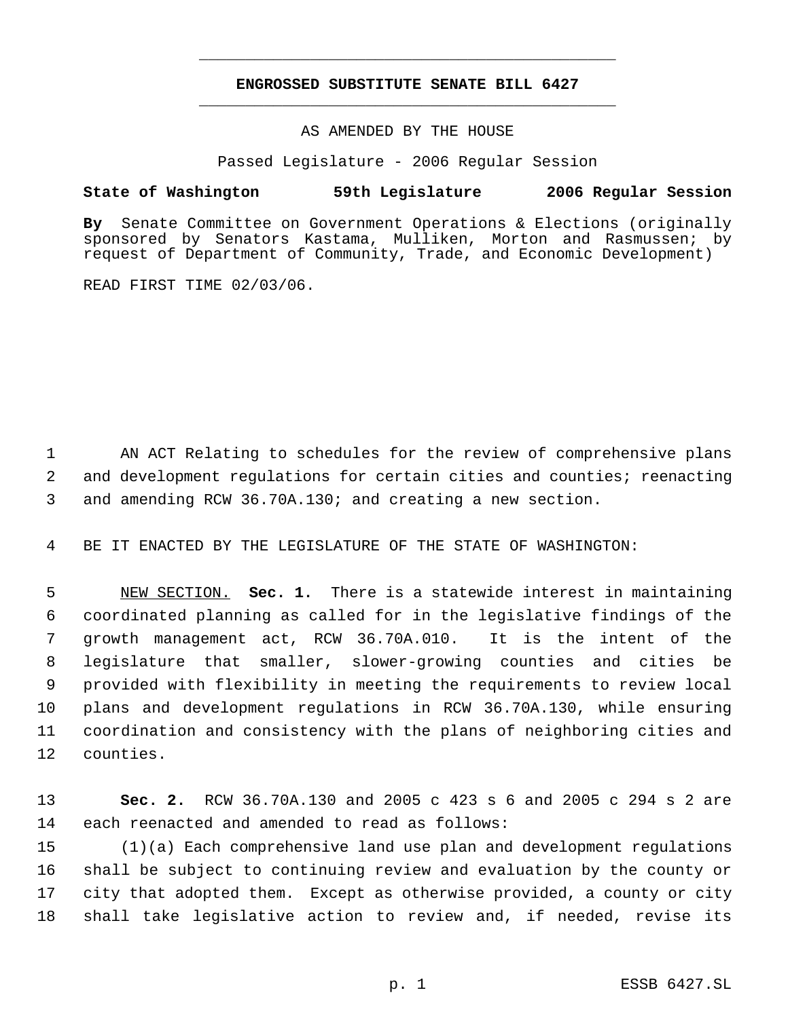# **ENGROSSED SUBSTITUTE SENATE BILL 6427** \_\_\_\_\_\_\_\_\_\_\_\_\_\_\_\_\_\_\_\_\_\_\_\_\_\_\_\_\_\_\_\_\_\_\_\_\_\_\_\_\_\_\_\_\_

\_\_\_\_\_\_\_\_\_\_\_\_\_\_\_\_\_\_\_\_\_\_\_\_\_\_\_\_\_\_\_\_\_\_\_\_\_\_\_\_\_\_\_\_\_

AS AMENDED BY THE HOUSE

Passed Legislature - 2006 Regular Session

### **State of Washington 59th Legislature 2006 Regular Session**

**By** Senate Committee on Government Operations & Elections (originally sponsored by Senators Kastama, Mulliken, Morton and Rasmussen; by request of Department of Community, Trade, and Economic Development)

READ FIRST TIME 02/03/06.

 AN ACT Relating to schedules for the review of comprehensive plans and development regulations for certain cities and counties; reenacting and amending RCW 36.70A.130; and creating a new section.

BE IT ENACTED BY THE LEGISLATURE OF THE STATE OF WASHINGTON:

 NEW SECTION. **Sec. 1.** There is a statewide interest in maintaining coordinated planning as called for in the legislative findings of the growth management act, RCW 36.70A.010. It is the intent of the legislature that smaller, slower-growing counties and cities be provided with flexibility in meeting the requirements to review local plans and development regulations in RCW 36.70A.130, while ensuring coordination and consistency with the plans of neighboring cities and counties.

 **Sec. 2.** RCW 36.70A.130 and 2005 c 423 s 6 and 2005 c 294 s 2 are each reenacted and amended to read as follows:

 (1)(a) Each comprehensive land use plan and development regulations shall be subject to continuing review and evaluation by the county or city that adopted them. Except as otherwise provided, a county or city shall take legislative action to review and, if needed, revise its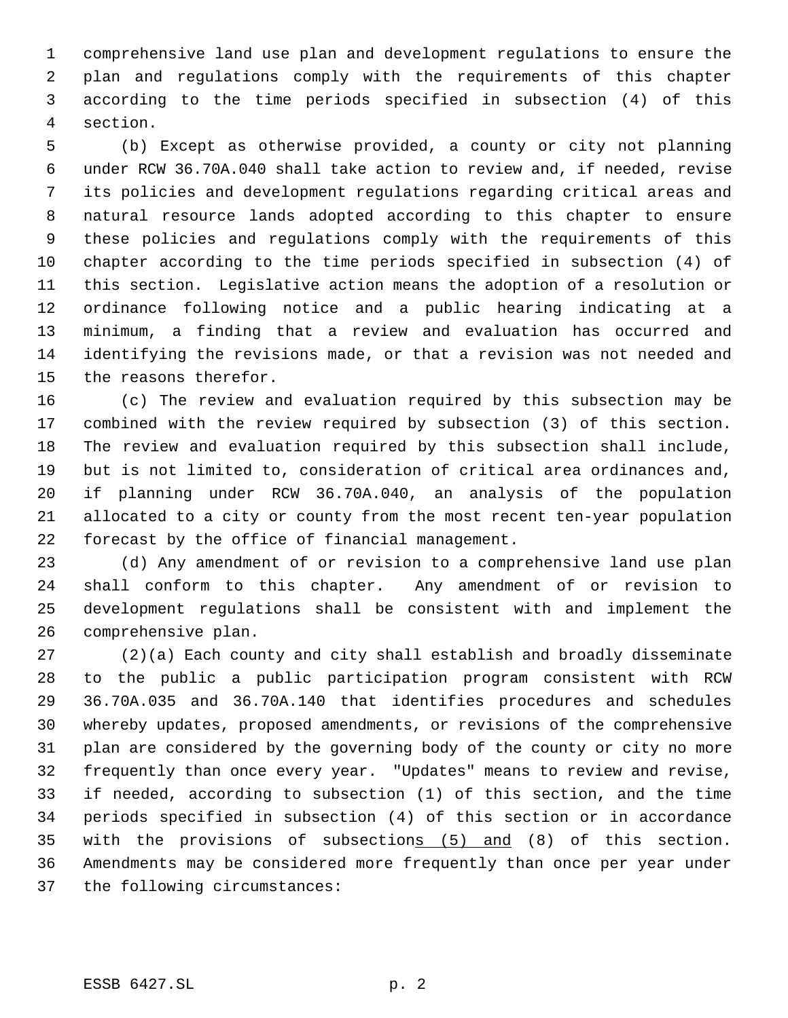comprehensive land use plan and development regulations to ensure the plan and regulations comply with the requirements of this chapter according to the time periods specified in subsection (4) of this section.

 (b) Except as otherwise provided, a county or city not planning under RCW 36.70A.040 shall take action to review and, if needed, revise its policies and development regulations regarding critical areas and natural resource lands adopted according to this chapter to ensure these policies and regulations comply with the requirements of this chapter according to the time periods specified in subsection (4) of this section. Legislative action means the adoption of a resolution or ordinance following notice and a public hearing indicating at a minimum, a finding that a review and evaluation has occurred and identifying the revisions made, or that a revision was not needed and the reasons therefor.

 (c) The review and evaluation required by this subsection may be combined with the review required by subsection (3) of this section. The review and evaluation required by this subsection shall include, but is not limited to, consideration of critical area ordinances and, if planning under RCW 36.70A.040, an analysis of the population allocated to a city or county from the most recent ten-year population forecast by the office of financial management.

 (d) Any amendment of or revision to a comprehensive land use plan shall conform to this chapter. Any amendment of or revision to development regulations shall be consistent with and implement the comprehensive plan.

 (2)(a) Each county and city shall establish and broadly disseminate to the public a public participation program consistent with RCW 36.70A.035 and 36.70A.140 that identifies procedures and schedules whereby updates, proposed amendments, or revisions of the comprehensive plan are considered by the governing body of the county or city no more frequently than once every year. "Updates" means to review and revise, if needed, according to subsection (1) of this section, and the time periods specified in subsection (4) of this section or in accordance with the provisions of subsections (5) and (8) of this section. Amendments may be considered more frequently than once per year under the following circumstances: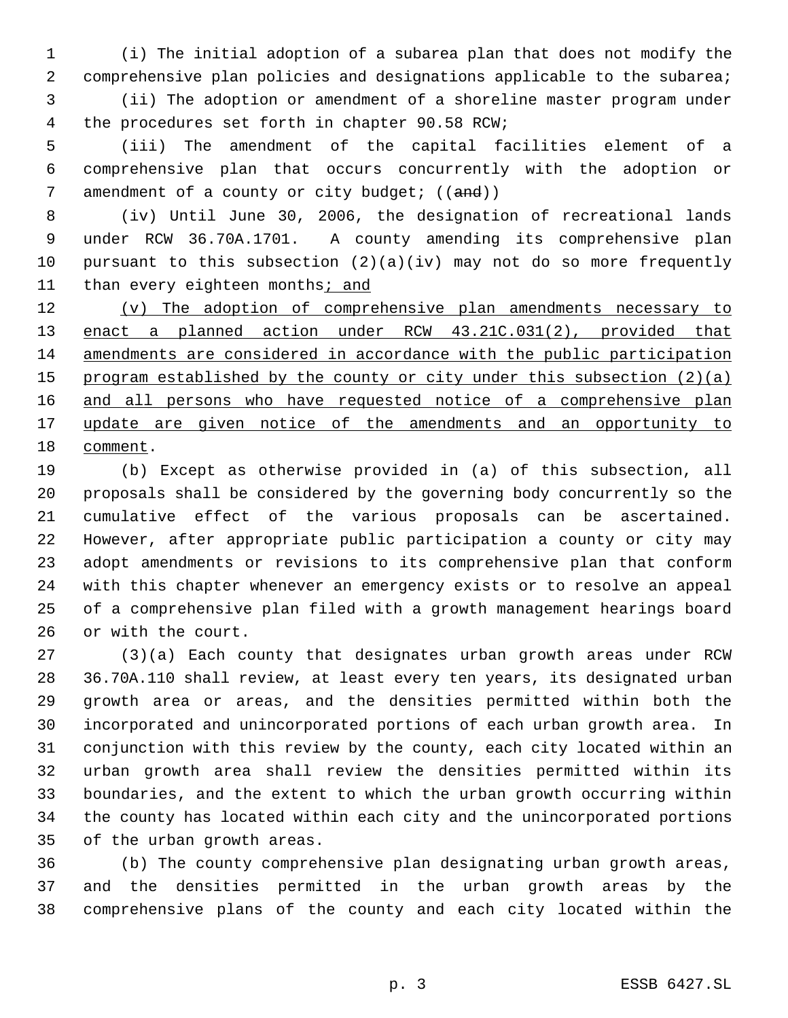(i) The initial adoption of a subarea plan that does not modify the 2 comprehensive plan policies and designations applicable to the subarea; (ii) The adoption or amendment of a shoreline master program under the procedures set forth in chapter 90.58 RCW;

 (iii) The amendment of the capital facilities element of a comprehensive plan that occurs concurrently with the adoption or 7 amendment of a county or city budget;  $((and))$ 

 (iv) Until June 30, 2006, the designation of recreational lands under RCW 36.70A.1701. A county amending its comprehensive plan pursuant to this subsection (2)(a)(iv) may not do so more frequently 11 than every eighteen months; and

 (v) The adoption of comprehensive plan amendments necessary to enact a planned action under RCW 43.21C.031(2), provided that amendments are considered in accordance with the public participation 15 program established by the county or city under this subsection (2)(a) 16 and all persons who have requested notice of a comprehensive plan update are given notice of the amendments and an opportunity to comment.

 (b) Except as otherwise provided in (a) of this subsection, all proposals shall be considered by the governing body concurrently so the cumulative effect of the various proposals can be ascertained. However, after appropriate public participation a county or city may adopt amendments or revisions to its comprehensive plan that conform with this chapter whenever an emergency exists or to resolve an appeal of a comprehensive plan filed with a growth management hearings board or with the court.

 (3)(a) Each county that designates urban growth areas under RCW 36.70A.110 shall review, at least every ten years, its designated urban growth area or areas, and the densities permitted within both the incorporated and unincorporated portions of each urban growth area. In conjunction with this review by the county, each city located within an urban growth area shall review the densities permitted within its boundaries, and the extent to which the urban growth occurring within the county has located within each city and the unincorporated portions of the urban growth areas.

 (b) The county comprehensive plan designating urban growth areas, and the densities permitted in the urban growth areas by the comprehensive plans of the county and each city located within the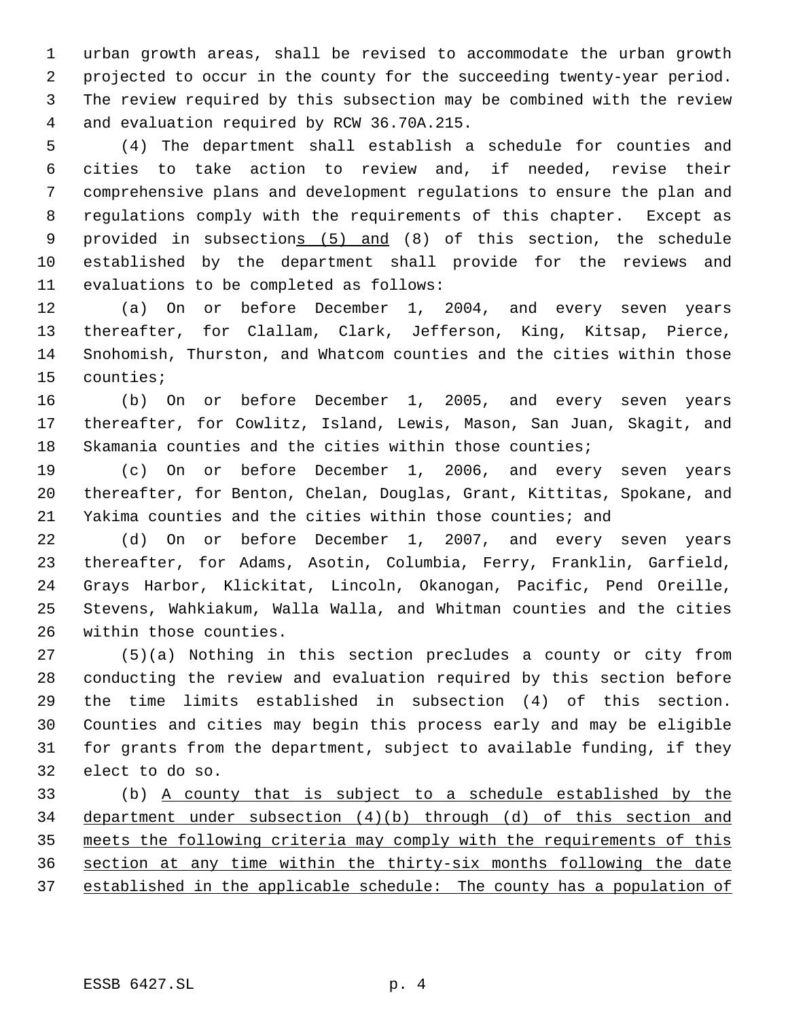urban growth areas, shall be revised to accommodate the urban growth projected to occur in the county for the succeeding twenty-year period. The review required by this subsection may be combined with the review and evaluation required by RCW 36.70A.215.

 (4) The department shall establish a schedule for counties and cities to take action to review and, if needed, revise their comprehensive plans and development regulations to ensure the plan and regulations comply with the requirements of this chapter. Except as provided in subsections (5) and (8) of this section, the schedule established by the department shall provide for the reviews and evaluations to be completed as follows:

 (a) On or before December 1, 2004, and every seven years thereafter, for Clallam, Clark, Jefferson, King, Kitsap, Pierce, Snohomish, Thurston, and Whatcom counties and the cities within those counties;

 (b) On or before December 1, 2005, and every seven years thereafter, for Cowlitz, Island, Lewis, Mason, San Juan, Skagit, and Skamania counties and the cities within those counties;

 (c) On or before December 1, 2006, and every seven years thereafter, for Benton, Chelan, Douglas, Grant, Kittitas, Spokane, and Yakima counties and the cities within those counties; and

 (d) On or before December 1, 2007, and every seven years thereafter, for Adams, Asotin, Columbia, Ferry, Franklin, Garfield, Grays Harbor, Klickitat, Lincoln, Okanogan, Pacific, Pend Oreille, Stevens, Wahkiakum, Walla Walla, and Whitman counties and the cities within those counties.

 (5)(a) Nothing in this section precludes a county or city from conducting the review and evaluation required by this section before the time limits established in subsection (4) of this section. Counties and cities may begin this process early and may be eligible for grants from the department, subject to available funding, if they elect to do so.

 (b) A county that is subject to a schedule established by the department under subsection (4)(b) through (d) of this section and meets the following criteria may comply with the requirements of this section at any time within the thirty-six months following the date established in the applicable schedule: The county has a population of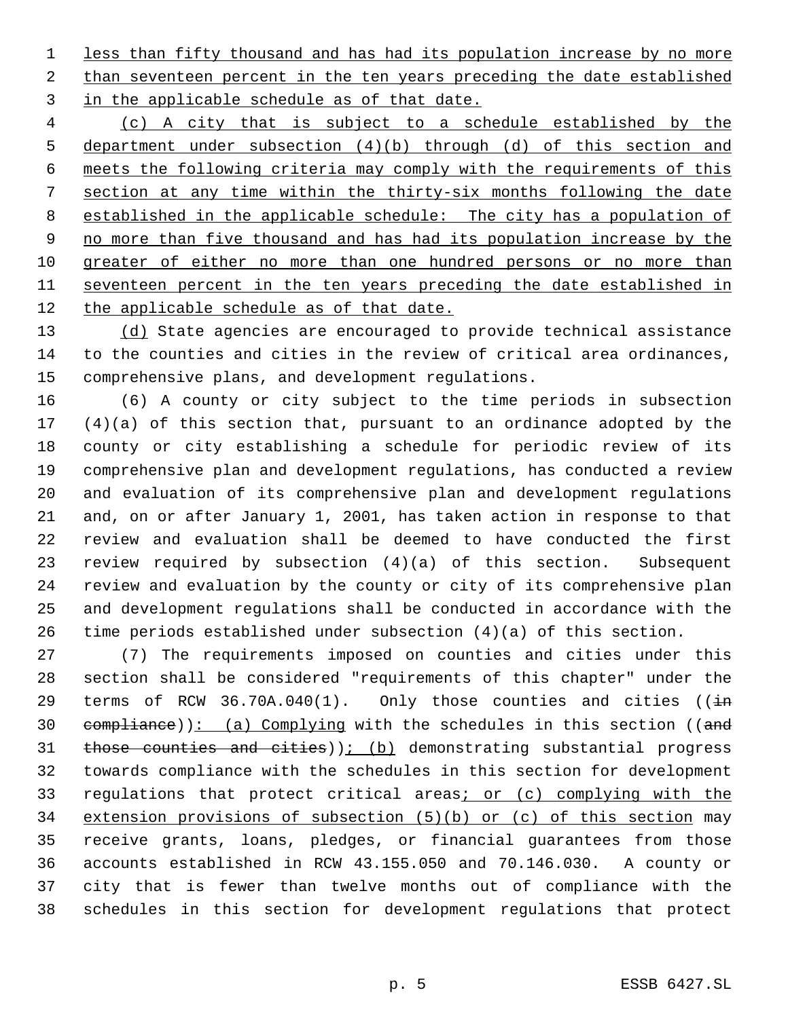less than fifty thousand and has had its population increase by no more 2 than seventeen percent in the ten years preceding the date established 3 in the applicable schedule as of that date.

 (c) A city that is subject to a schedule established by the department under subsection (4)(b) through (d) of this section and meets the following criteria may comply with the requirements of this section at any time within the thirty-six months following the date established in the applicable schedule: The city has a population of 9 no more than five thousand and has had its population increase by the greater of either no more than one hundred persons or no more than seventeen percent in the ten years preceding the date established in 12 the applicable schedule as of that date.

13 (d) State agencies are encouraged to provide technical assistance to the counties and cities in the review of critical area ordinances, comprehensive plans, and development regulations.

 (6) A county or city subject to the time periods in subsection (4)(a) of this section that, pursuant to an ordinance adopted by the county or city establishing a schedule for periodic review of its comprehensive plan and development regulations, has conducted a review and evaluation of its comprehensive plan and development regulations and, on or after January 1, 2001, has taken action in response to that review and evaluation shall be deemed to have conducted the first review required by subsection (4)(a) of this section. Subsequent review and evaluation by the county or city of its comprehensive plan and development regulations shall be conducted in accordance with the time periods established under subsection (4)(a) of this section.

 (7) The requirements imposed on counties and cities under this section shall be considered "requirements of this chapter" under the 29 terms of RCW 36.70A.040(1). Only those counties and cities ( $\frac{1}{2}$  $compliance)$ : (a) Complying with the schedules in this section ((and 31 those counties and cities)  $(i)$  (b) demonstrating substantial progress towards compliance with the schedules in this section for development 33 regulations that protect critical areas; or (c) complying with the extension provisions of subsection (5)(b) or (c) of this section may receive grants, loans, pledges, or financial guarantees from those accounts established in RCW 43.155.050 and 70.146.030. A county or city that is fewer than twelve months out of compliance with the schedules in this section for development regulations that protect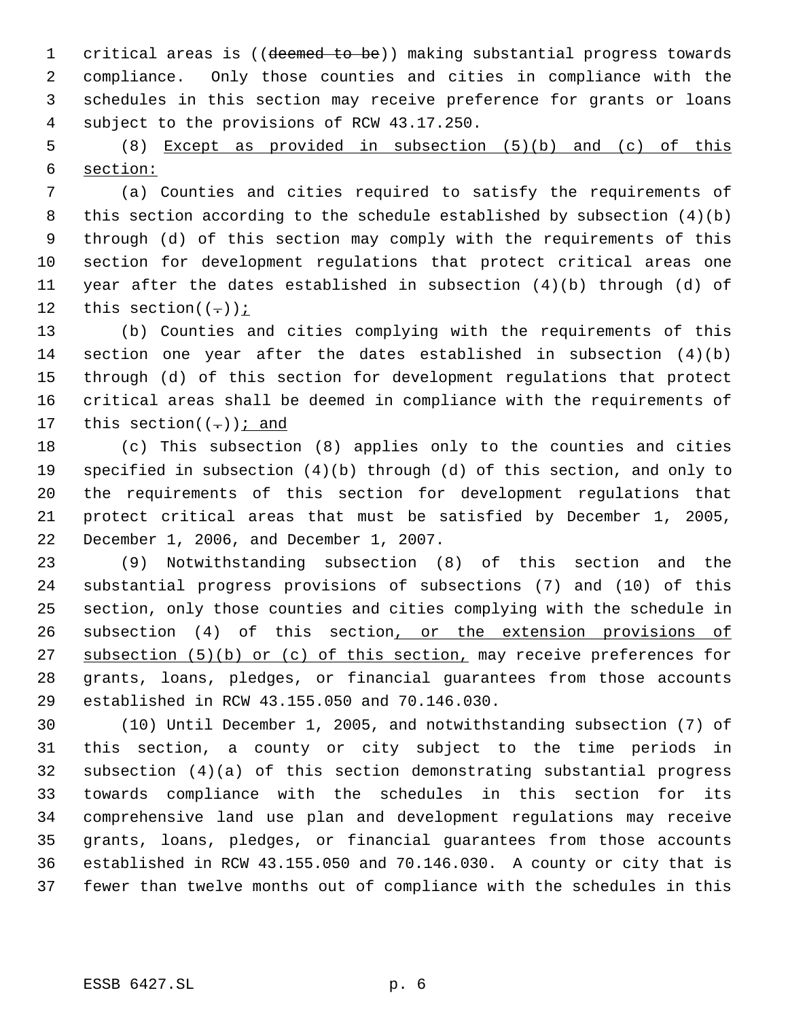1 critical areas is ((deemed to be)) making substantial progress towards compliance. Only those counties and cities in compliance with the schedules in this section may receive preference for grants or loans subject to the provisions of RCW 43.17.250.

 (8) Except as provided in subsection (5)(b) and (c) of this section:

 (a) Counties and cities required to satisfy the requirements of this section according to the schedule established by subsection (4)(b) through (d) of this section may comply with the requirements of this section for development regulations that protect critical areas one year after the dates established in subsection (4)(b) through (d) of 12 this section( $(-)$ );

 (b) Counties and cities complying with the requirements of this section one year after the dates established in subsection (4)(b) through (d) of this section for development regulations that protect critical areas shall be deemed in compliance with the requirements of 17 this section( $(-)$ ); and

 (c) This subsection (8) applies only to the counties and cities specified in subsection (4)(b) through (d) of this section, and only to the requirements of this section for development regulations that protect critical areas that must be satisfied by December 1, 2005, December 1, 2006, and December 1, 2007.

 (9) Notwithstanding subsection (8) of this section and the substantial progress provisions of subsections (7) and (10) of this section, only those counties and cities complying with the schedule in 26 subsection (4) of this section, or the extension provisions of 27 subsection (5)(b) or (c) of this section, may receive preferences for grants, loans, pledges, or financial guarantees from those accounts established in RCW 43.155.050 and 70.146.030.

 (10) Until December 1, 2005, and notwithstanding subsection (7) of this section, a county or city subject to the time periods in subsection (4)(a) of this section demonstrating substantial progress towards compliance with the schedules in this section for its comprehensive land use plan and development regulations may receive grants, loans, pledges, or financial guarantees from those accounts established in RCW 43.155.050 and 70.146.030. A county or city that is fewer than twelve months out of compliance with the schedules in this